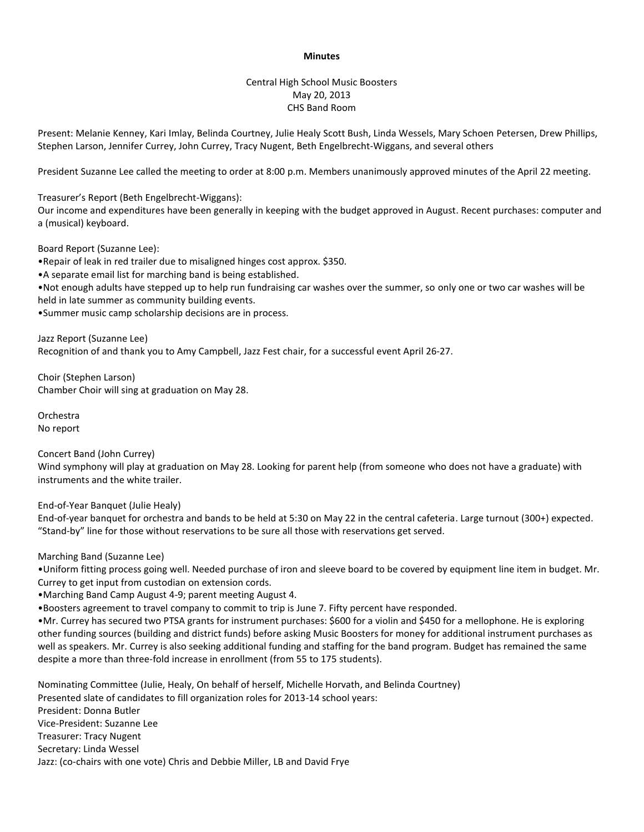## **Minutes**

## Central High School Music Boosters May 20, 2013 CHS Band Room

Present: Melanie Kenney, Kari Imlay, Belinda Courtney, Julie Healy Scott Bush, Linda Wessels, Mary Schoen Petersen, Drew Phillips, Stephen Larson, Jennifer Currey, John Currey, Tracy Nugent, Beth Engelbrecht-Wiggans, and several others

President Suzanne Lee called the meeting to order at 8:00 p.m. Members unanimously approved minutes of the April 22 meeting.

Treasurer's Report (Beth Engelbrecht-Wiggans):

Our income and expenditures have been generally in keeping with the budget approved in August. Recent purchases: computer and a (musical) keyboard.

Board Report (Suzanne Lee):

•Repair of leak in red trailer due to misaligned hinges cost approx. \$350.

•A separate email list for marching band is being established.

•Not enough adults have stepped up to help run fundraising car washes over the summer, so only one or two car washes will be held in late summer as community building events.

•Summer music camp scholarship decisions are in process.

Jazz Report (Suzanne Lee) Recognition of and thank you to Amy Campbell, Jazz Fest chair, for a successful event April 26-27.

Choir (Stephen Larson) Chamber Choir will sing at graduation on May 28.

Orchestra No report

Concert Band (John Currey)

Wind symphony will play at graduation on May 28. Looking for parent help (from someone who does not have a graduate) with instruments and the white trailer.

End-of-Year Banquet (Julie Healy)

End-of-year banquet for orchestra and bands to be held at 5:30 on May 22 in the central cafeteria. Large turnout (300+) expected. "Stand-by" line for those without reservations to be sure all those with reservations get served.

Marching Band (Suzanne Lee)

•Uniform fitting process going well. Needed purchase of iron and sleeve board to be covered by equipment line item in budget. Mr. Currey to get input from custodian on extension cords.

•Marching Band Camp August 4-9; parent meeting August 4.

•Boosters agreement to travel company to commit to trip is June 7. Fifty percent have responded.

•Mr. Currey has secured two PTSA grants for instrument purchases: \$600 for a violin and \$450 for a mellophone. He is exploring other funding sources (building and district funds) before asking Music Boosters for money for additional instrument purchases as well as speakers. Mr. Currey is also seeking additional funding and staffing for the band program. Budget has remained the same despite a more than three-fold increase in enrollment (from 55 to 175 students).

Nominating Committee (Julie, Healy, On behalf of herself, Michelle Horvath, and Belinda Courtney) Presented slate of candidates to fill organization roles for 2013-14 school years: President: Donna Butler Vice-President: Suzanne Lee Treasurer: Tracy Nugent Secretary: Linda Wessel Jazz: (co-chairs with one vote) Chris and Debbie Miller, LB and David Frye